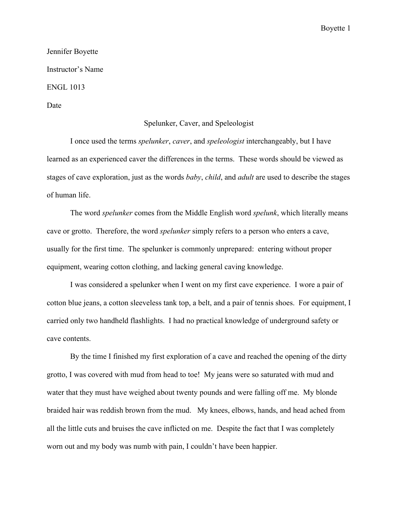Boyette 1

Jennifer Boyette Instructor's Name ENGL 1013 Date

## Spelunker, Caver, and Speleologist

I once used the terms *spelunker*, *caver*, and *speleologist* interchangeably, but I have learned as an experienced caver the differences in the terms. These words should be viewed as stages of cave exploration, just as the words *baby*, *child*, and *adult* are used to describe the stages of human life.

The word *spelunker* comes from the Middle English word *spelunk*, which literally means cave or grotto. Therefore, the word *spelunker* simply refers to a person who enters a cave, usually for the first time. The spelunker is commonly unprepared: entering without proper equipment, wearing cotton clothing, and lacking general caving knowledge.

I was considered a spelunker when I went on my first cave experience. I wore a pair of cotton blue jeans, a cotton sleeveless tank top, a belt, and a pair of tennis shoes. For equipment, I carried only two handheld flashlights. I had no practical knowledge of underground safety or cave contents.

By the time I finished my first exploration of a cave and reached the opening of the dirty grotto, I was covered with mud from head to toe! My jeans were so saturated with mud and water that they must have weighed about twenty pounds and were falling off me. My blonde braided hair was reddish brown from the mud. My knees, elbows, hands, and head ached from all the little cuts and bruises the cave inflicted on me. Despite the fact that I was completely worn out and my body was numb with pain, I couldn't have been happier.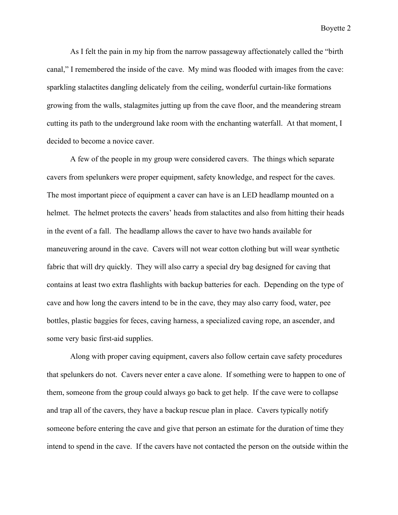Boyette 2

As I felt the pain in my hip from the narrow passageway affectionately called the "birth canal," I remembered the inside of the cave. My mind was flooded with images from the cave: sparkling stalactites dangling delicately from the ceiling, wonderful curtain-like formations growing from the walls, stalagmites jutting up from the cave floor, and the meandering stream cutting its path to the underground lake room with the enchanting waterfall. At that moment, I decided to become a novice caver.

A few of the people in my group were considered cavers. The things which separate cavers from spelunkers were proper equipment, safety knowledge, and respect for the caves. The most important piece of equipment a caver can have is an LED headlamp mounted on a helmet. The helmet protects the cavers' heads from stalactites and also from hitting their heads in the event of a fall. The headlamp allows the caver to have two hands available for maneuvering around in the cave. Cavers will not wear cotton clothing but will wear synthetic fabric that will dry quickly. They will also carry a special dry bag designed for caving that contains at least two extra flashlights with backup batteries for each. Depending on the type of cave and how long the cavers intend to be in the cave, they may also carry food, water, pee bottles, plastic baggies for feces, caving harness, a specialized caving rope, an ascender, and some very basic first-aid supplies.

Along with proper caving equipment, cavers also follow certain cave safety procedures that spelunkers do not. Cavers never enter a cave alone. If something were to happen to one of them, someone from the group could always go back to get help. If the cave were to collapse and trap all of the cavers, they have a backup rescue plan in place. Cavers typically notify someone before entering the cave and give that person an estimate for the duration of time they intend to spend in the cave. If the cavers have not contacted the person on the outside within the